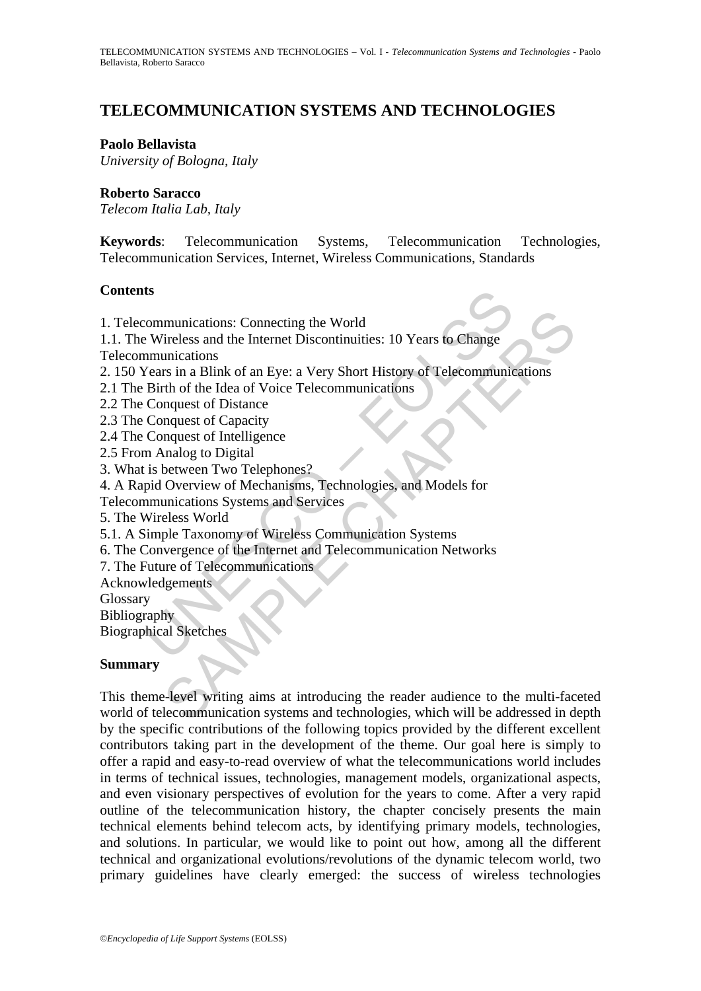# **TELECOMMUNICATION SYSTEMS AND TECHNOLOGIES**

#### **Paolo Bellavista**

*University of Bologna, Italy* 

#### **Roberto Saracco**

*Telecom Italia Lab, Italy* 

**Keywords**: Telecommunication Systems, Telecommunication Technologies, Telecommunication Services, Internet, Wireless Communications, Standards

#### **Contents**

**Example 18**<br>
Sommunications: Connecting the World<br>
Devireless and the Internet Discontinuities: 10 Years to Change<br>
mmunications<br>
Vears in a Blink of an Eye: a Very Short History of Telecommunic<br>
Eirth of the Idea of Voic munications: Connecting the World<br>
Treless and the Internet Discontinuities: 10 Years to Change<br>
Trivian a Blink of an Eye: a Very Short History of Telecommunications<br>
rs in a Blink of an Eye: a Very Short History of Telec 1. Telecommunications: Connecting the World 1.1. The Wireless and the Internet Discontinuities: 10 Years to Change Telecommunications 2. 150 Years in a Blink of an Eye: a Very Short History of Telecommunications 2.1 The Birth of the Idea of Voice Telecommunications 2.2 The Conquest of Distance 2.3 The Conquest of Capacity 2.4 The Conquest of Intelligence 2.5 From Analog to Digital 3. What is between Two Telephones? 4. A Rapid Overview of Mechanisms, Technologies, and Models for Telecommunications Systems and Services 5. The Wireless World 5.1. A Simple Taxonomy of Wireless Communication Systems 6. The Convergence of the Internet and Telecommunication Networks 7. The Future of Telecommunications Acknowledgements Glossary **Bibliography** Biographical Sketches

#### **Summary**

This theme-level writing aims at introducing the reader audience to the multi-faceted world of telecommunication systems and technologies, which will be addressed in depth by the specific contributions of the following topics provided by the different excellent contributors taking part in the development of the theme. Our goal here is simply to offer a rapid and easy-to-read overview of what the telecommunications world includes in terms of technical issues, technologies, management models, organizational aspects, and even visionary perspectives of evolution for the years to come. After a very rapid outline of the telecommunication history, the chapter concisely presents the main technical elements behind telecom acts, by identifying primary models, technologies, and solutions. In particular, we would like to point out how, among all the different technical and organizational evolutions/revolutions of the dynamic telecom world, two primary guidelines have clearly emerged: the success of wireless technologies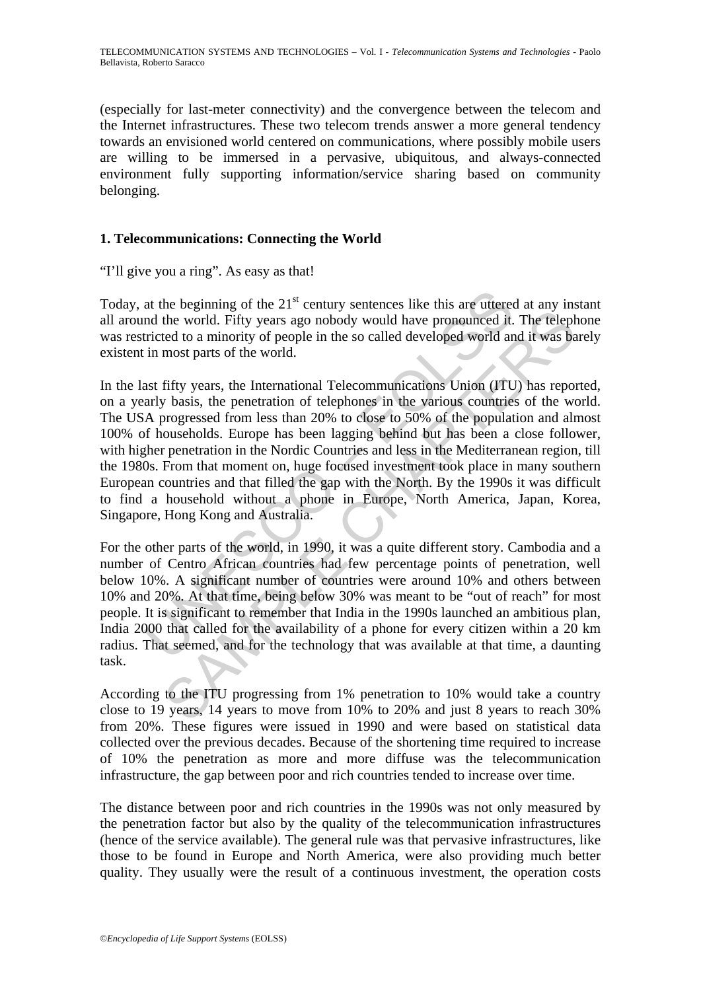(especially for last-meter connectivity) and the convergence between the telecom and the Internet infrastructures. These two telecom trends answer a more general tendency towards an envisioned world centered on communications, where possibly mobile users are willing to be immersed in a pervasive, ubiquitous, and always-connected environment fully supporting information/service sharing based on community belonging.

## **1. Telecommunications: Connecting the World**

#### "I'll give you a ring". As easy as that!

Today, at the beginning of the  $21<sup>st</sup>$  century sentences like this are uttered at any instant all around the world. Fifty years ago nobody would have pronounced it. The telephone was restricted to a minority of people in the so called developed world and it was barely existent in most parts of the world.

at the beginning of the  $21^{\text{st}}$  century sentences like this are uttered the world. Fifty years ago nobody would have pronounced it.<br>tricted to a minority of people in the so called developed world an<br>in most parts of t In eventually to the social policies and an exploration of the tword. Fifty years ago nobody would have pronounced it. The teleptred to a minority of people in the so called developed world and it was based morst parts of In the last fifty years, the International Telecommunications Union (ITU) has reported, on a yearly basis, the penetration of telephones in the various countries of the world. The USA progressed from less than 20% to close to 50% of the population and almost 100% of households. Europe has been lagging behind but has been a close follower, with higher penetration in the Nordic Countries and less in the Mediterranean region, till the 1980s. From that moment on, huge focused investment took place in many southern European countries and that filled the gap with the North. By the 1990s it was difficult to find a household without a phone in Europe, North America, Japan, Korea, Singapore, Hong Kong and Australia.

For the other parts of the world, in 1990, it was a quite different story. Cambodia and a number of Centro African countries had few percentage points of penetration, well below 10%. A significant number of countries were around 10% and others between 10% and 20%. At that time, being below 30% was meant to be "out of reach" for most people. It is significant to remember that India in the 1990s launched an ambitious plan, India 2000 that called for the availability of a phone for every citizen within a 20 km radius. That seemed, and for the technology that was available at that time, a daunting task.

According to the ITU progressing from 1% penetration to 10% would take a country close to 19 years, 14 years to move from 10% to 20% and just 8 years to reach 30% from 20%. These figures were issued in 1990 and were based on statistical data collected over the previous decades. Because of the shortening time required to increase of 10% the penetration as more and more diffuse was the telecommunication infrastructure, the gap between poor and rich countries tended to increase over time.

The distance between poor and rich countries in the 1990s was not only measured by the penetration factor but also by the quality of the telecommunication infrastructures (hence of the service available). The general rule was that pervasive infrastructures, like those to be found in Europe and North America, were also providing much better quality. They usually were the result of a continuous investment, the operation costs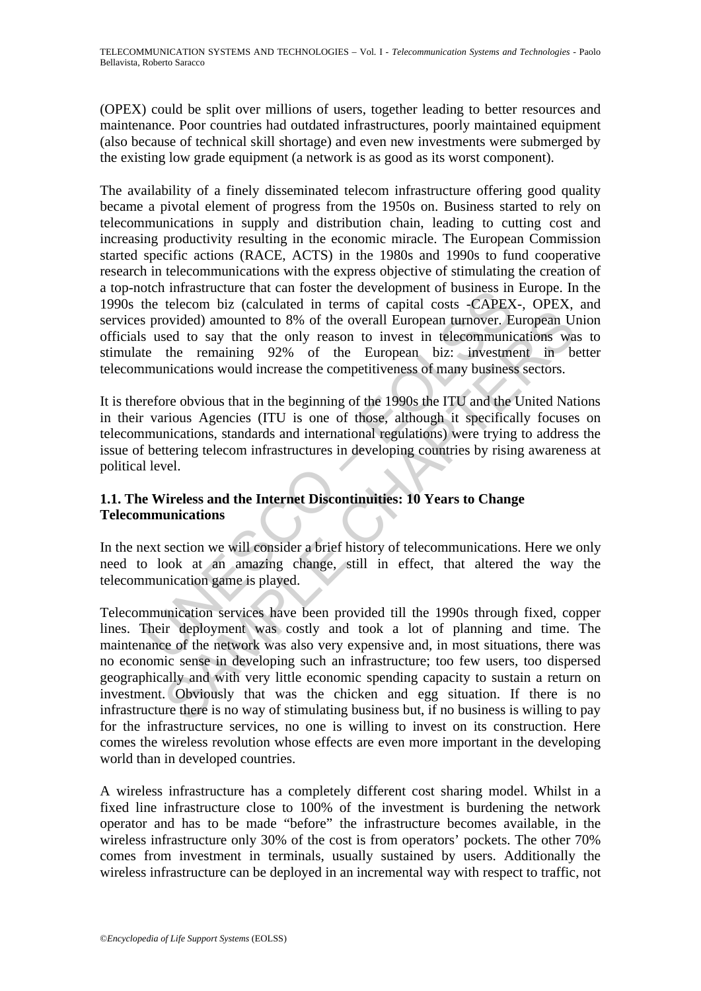(OPEX) could be split over millions of users, together leading to better resources and maintenance. Poor countries had outdated infrastructures, poorly maintained equipment (also because of technical skill shortage) and even new investments were submerged by the existing low grade equipment (a network is as good as its worst component).

ble the telecom biz (calculated in term oster the verophent of business in<br>the telecom biz (calculated in terms of capital costs -CAPEX<br>provided) amounted to 8% of the overall European turnover. E<br>s used to say that the on The availability of a finely disseminated telecom infrastructure offering good quality became a pivotal element of progress from the 1950s on. Business started to rely on telecommunications in supply and distribution chain, leading to cutting cost and increasing productivity resulting in the economic miracle. The European Commission started specific actions (RACE, ACTS) in the 1980s and 1990s to fund cooperative research in telecommunications with the express objective of stimulating the creation of a top-notch infrastructure that can foster the development of business in Europe. In the 1990s the telecom biz (calculated in terms of capital costs -CAPEX-, OPEX, and services provided) amounted to 8% of the overall European turnover. European Union officials used to say that the only reason to invest in telecommunications was to stimulate the remaining 92% of the European biz: investment in better telecommunications would increase the competitiveness of many business sectors.

It is therefore obvious that in the beginning of the 1990s the ITU and the United Nations in their various Agencies (ITU is one of those, although it specifically focuses on telecommunications, standards and international regulations) were trying to address the issue of bettering telecom infrastructures in developing countries by rising awareness at political level.

## **1.1. The Wireless and the Internet Discontinuities: 10 Years to Change Telecommunications**

In the next section we will consider a brief history of telecommunications. Here we only need to look at an amazing change, still in effect, that altered the way the telecommunication game is played.

isomethed and the mean of the strepture and the response that the consideration of the overall European tumover. European University the remaining 92% of the overall European tumover. European is the remaining 92% of the E Telecommunication services have been provided till the 1990s through fixed, copper lines. Their deployment was costly and took a lot of planning and time. The maintenance of the network was also very expensive and, in most situations, there was no economic sense in developing such an infrastructure; too few users, too dispersed geographically and with very little economic spending capacity to sustain a return on investment. Obviously that was the chicken and egg situation. If there is no infrastructure there is no way of stimulating business but, if no business is willing to pay for the infrastructure services, no one is willing to invest on its construction. Here comes the wireless revolution whose effects are even more important in the developing world than in developed countries.

A wireless infrastructure has a completely different cost sharing model. Whilst in a fixed line infrastructure close to 100% of the investment is burdening the network operator and has to be made "before" the infrastructure becomes available, in the wireless infrastructure only 30% of the cost is from operators' pockets. The other 70% comes from investment in terminals, usually sustained by users. Additionally the wireless infrastructure can be deployed in an incremental way with respect to traffic, not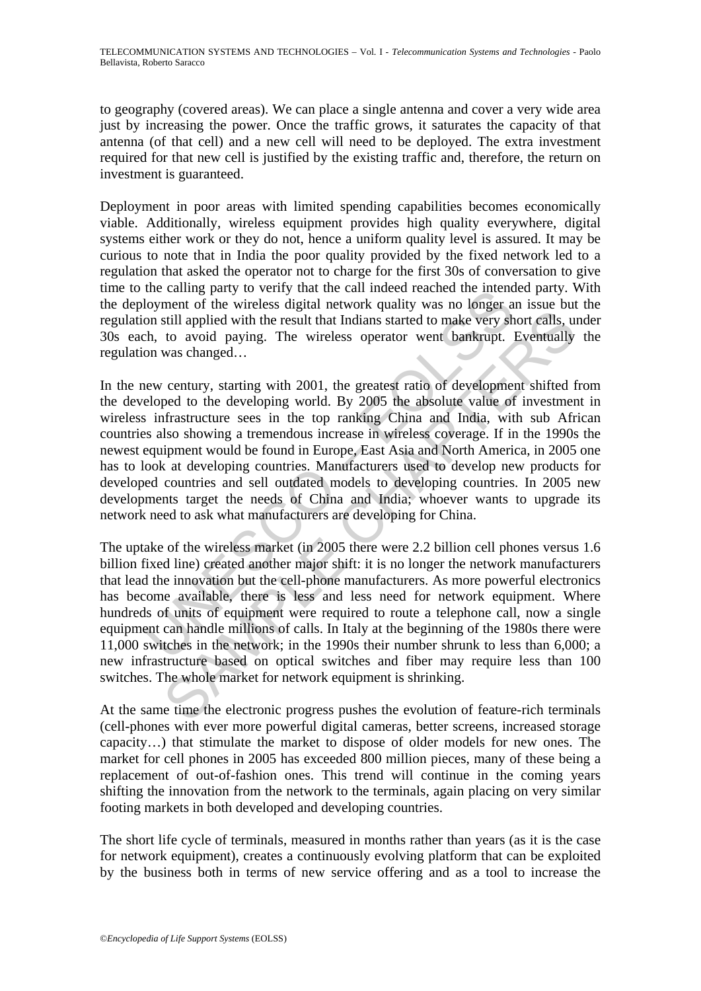to geography (covered areas). We can place a single antenna and cover a very wide area just by increasing the power. Once the traffic grows, it saturates the capacity of that antenna (of that cell) and a new cell will need to be deployed. The extra investment required for that new cell is justified by the existing traffic and, therefore, the return on investment is guaranteed.

Deployment in poor areas with limited spending capabilities becomes economically viable. Additionally, wireless equipment provides high quality everywhere, digital systems either work or they do not, hence a uniform quality level is assured. It may be curious to note that in India the poor quality provided by the fixed network led to a regulation that asked the operator not to charge for the first 30s of conversation to give time to the calling party to verify that the call indeed reached the intended party. With the deployment of the wireless digital network quality was no longer an issue but the regulation still applied with the result that Indians started to make very short calls, under 30s each, to avoid paying. The wireless operator went bankrupt. Eventually the regulation was changed…

the cannel party to verily unat the can indeed reached the incention<br>loyment of the wireless digital network quality was no longer a<br>on still applied with the result that Indians started to make very sh<br>h, to avoid paying. manned or three works of the network was the same of the same of the same of the same of the same of the same of the developing was changed...<br>
to avoid paying. The wireless operator went bankrupt. Eventually was changed.. In the new century, starting with 2001, the greatest ratio of development shifted from the developed to the developing world. By 2005 the absolute value of investment in wireless infrastructure sees in the top ranking China and India, with sub African countries also showing a tremendous increase in wireless coverage. If in the 1990s the newest equipment would be found in Europe, East Asia and North America, in 2005 one has to look at developing countries. Manufacturers used to develop new products for developed countries and sell outdated models to developing countries. In 2005 new developments target the needs of China and India; whoever wants to upgrade its network need to ask what manufacturers are developing for China.

The uptake of the wireless market (in 2005 there were 2.2 billion cell phones versus 1.6 billion fixed line) created another major shift: it is no longer the network manufacturers that lead the innovation but the cell-phone manufacturers. As more powerful electronics has become available, there is less and less need for network equipment. Where hundreds of units of equipment were required to route a telephone call, now a single equipment can handle millions of calls. In Italy at the beginning of the 1980s there were 11,000 switches in the network; in the 1990s their number shrunk to less than 6,000; a new infrastructure based on optical switches and fiber may require less than 100 switches. The whole market for network equipment is shrinking.

At the same time the electronic progress pushes the evolution of feature-rich terminals (cell-phones with ever more powerful digital cameras, better screens, increased storage capacity…) that stimulate the market to dispose of older models for new ones. The market for cell phones in 2005 has exceeded 800 million pieces, many of these being a replacement of out-of-fashion ones. This trend will continue in the coming years shifting the innovation from the network to the terminals, again placing on very similar footing markets in both developed and developing countries.

The short life cycle of terminals, measured in months rather than years (as it is the case for network equipment), creates a continuously evolving platform that can be exploited by the business both in terms of new service offering and as a tool to increase the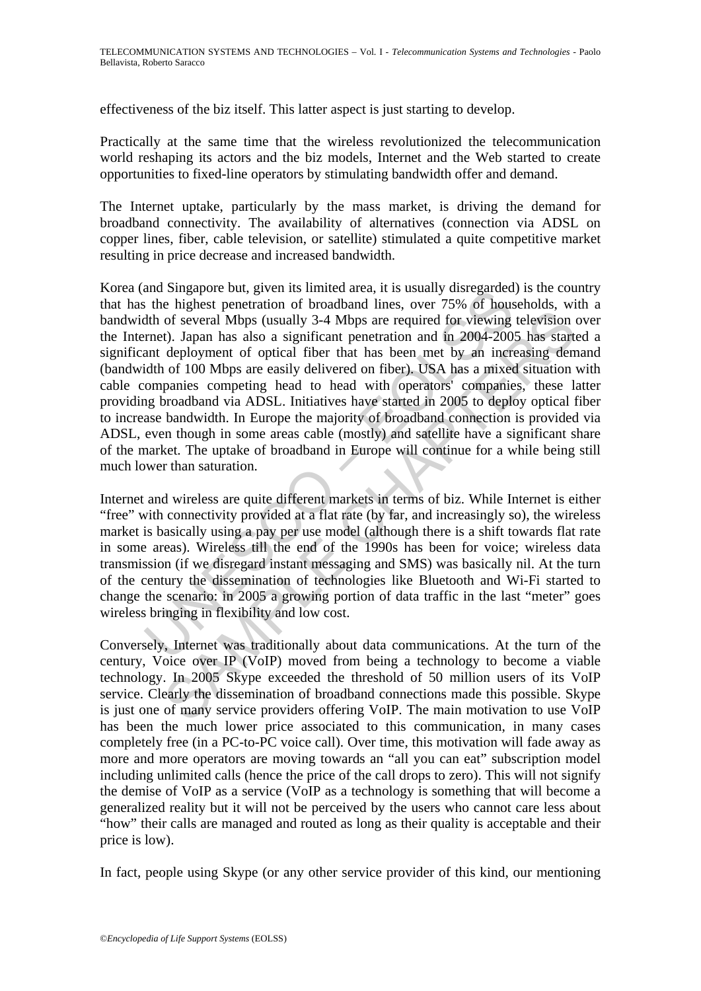effectiveness of the biz itself. This latter aspect is just starting to develop.

Practically at the same time that the wireless revolutionized the telecommunication world reshaping its actors and the biz models, Internet and the Web started to create opportunities to fixed-line operators by stimulating bandwidth offer and demand.

The Internet uptake, particularly by the mass market, is driving the demand for broadband connectivity. The availability of alternatives (connection via ADSL on copper lines, fiber, cable television, or satellite) stimulated a quite competitive market resulting in price decrease and increased bandwidth.

and Suppole but, given its united area, it is usually using<br>tarted and singupor but, given its united area, it is usually about<br>the of several Mbps (usually 3-4 Mbps are required for viewing<br>rmet). Japan has also a signifi and of several Mbps (usually 3-4 Mbps are required for viewing television of several Mbps (usually 3-4 Mbps are required for viewing television of bical fiber that has been met by an increasing derivation of 100 Mbps are Korea (and Singapore but, given its limited area, it is usually disregarded) is the country that has the highest penetration of broadband lines, over 75% of households, with a bandwidth of several Mbps (usually 3-4 Mbps are required for viewing television over the Internet). Japan has also a significant penetration and in 2004-2005 has started a significant deployment of optical fiber that has been met by an increasing demand (bandwidth of 100 Mbps are easily delivered on fiber). USA has a mixed situation with cable companies competing head to head with operators' companies, these latter providing broadband via ADSL. Initiatives have started in 2005 to deploy optical fiber to increase bandwidth. In Europe the majority of broadband connection is provided via ADSL, even though in some areas cable (mostly) and satellite have a significant share of the market. The uptake of broadband in Europe will continue for a while being still much lower than saturation.

Internet and wireless are quite different markets in terms of biz. While Internet is either "free" with connectivity provided at a flat rate (by far, and increasingly so), the wireless market is basically using a pay per use model (although there is a shift towards flat rate in some areas). Wireless till the end of the 1990s has been for voice; wireless data transmission (if we disregard instant messaging and SMS) was basically nil. At the turn of the century the dissemination of technologies like Bluetooth and Wi-Fi started to change the scenario: in 2005 a growing portion of data traffic in the last "meter" goes wireless bringing in flexibility and low cost.

Conversely, Internet was traditionally about data communications. At the turn of the century, Voice over IP (VoIP) moved from being a technology to become a viable technology. In 2005 Skype exceeded the threshold of 50 million users of its VoIP service. Clearly the dissemination of broadband connections made this possible. Skype is just one of many service providers offering VoIP. The main motivation to use VoIP has been the much lower price associated to this communication, in many cases completely free (in a PC-to-PC voice call). Over time, this motivation will fade away as more and more operators are moving towards an "all you can eat" subscription model including unlimited calls (hence the price of the call drops to zero). This will not signify the demise of VoIP as a service (VoIP as a technology is something that will become a generalized reality but it will not be perceived by the users who cannot care less about "how" their calls are managed and routed as long as their quality is acceptable and their price is low).

In fact, people using Skype (or any other service provider of this kind, our mentioning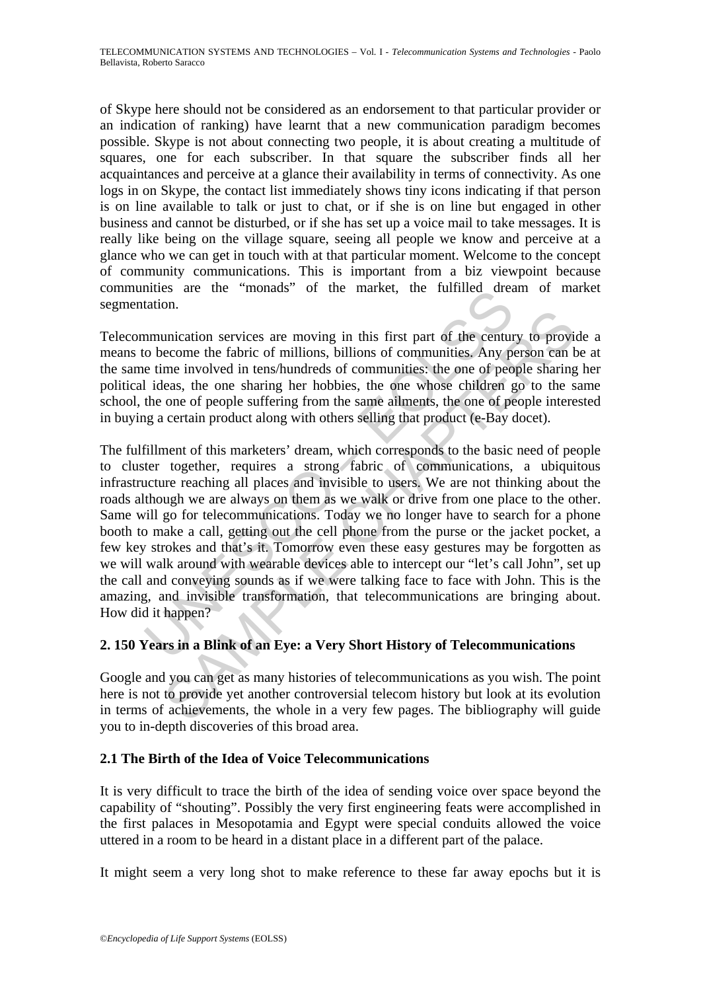of Skype here should not be considered as an endorsement to that particular provider or an indication of ranking) have learnt that a new communication paradigm becomes possible. Skype is not about connecting two people, it is about creating a multitude of squares, one for each subscriber. In that square the subscriber finds all her acquaintances and perceive at a glance their availability in terms of connectivity. As one logs in on Skype, the contact list immediately shows tiny icons indicating if that person is on line available to talk or just to chat, or if she is on line but engaged in other business and cannot be disturbed, or if she has set up a voice mail to take messages. It is really like being on the village square, seeing all people we know and perceive at a glance who we can get in touch with at that particular moment. Welcome to the concept of community communications. This is important from a biz viewpoint because communities are the "monads" of the market, the fulfilled dream of market segmentation.

Telecommunication services are moving in this first part of the century to provide a means to become the fabric of millions, billions of communities. Any person can be at the same time involved in tens/hundreds of communities: the one of people sharing her political ideas, the one sharing her hobbies, the one whose children go to the same school, the one of people suffering from the same ailments, the one of people interested in buying a certain product along with others selling that product (e-Bay docet).

Interest are the monatas of the market, the function.<br>
Internal decation.<br>
Internal decation.<br>
Internal obsed in the first part of the centure<br>
obsed in tens/hundreds of communities. Any perfect the one of people suffering Example and restricts are moving in this first part of the century to province<br>come the fabric of millions, billions of communities. Any person can tem involved in tens/hundreds of communities: the one of people sharing<br>l The fulfillment of this marketers' dream, which corresponds to the basic need of people to cluster together, requires a strong fabric of communications, a ubiquitous infrastructure reaching all places and invisible to users. We are not thinking about the roads although we are always on them as we walk or drive from one place to the other. Same will go for telecommunications. Today we no longer have to search for a phone booth to make a call, getting out the cell phone from the purse or the jacket pocket, a few key strokes and that's it. Tomorrow even these easy gestures may be forgotten as we will walk around with wearable devices able to intercept our "let's call John", set up the call and conveying sounds as if we were talking face to face with John. This is the amazing, and invisible transformation, that telecommunications are bringing about. How did it happen?

# **2. 150 Years in a Blink of an Eye: a Very Short History of Telecommunications**

Google and you can get as many histories of telecommunications as you wish. The point here is not to provide yet another controversial telecom history but look at its evolution in terms of achievements, the whole in a very few pages. The bibliography will guide you to in-depth discoveries of this broad area.

# **2.1 The Birth of the Idea of Voice Telecommunications**

It is very difficult to trace the birth of the idea of sending voice over space beyond the capability of "shouting". Possibly the very first engineering feats were accomplished in the first palaces in Mesopotamia and Egypt were special conduits allowed the voice uttered in a room to be heard in a distant place in a different part of the palace.

It might seem a very long shot to make reference to these far away epochs but it is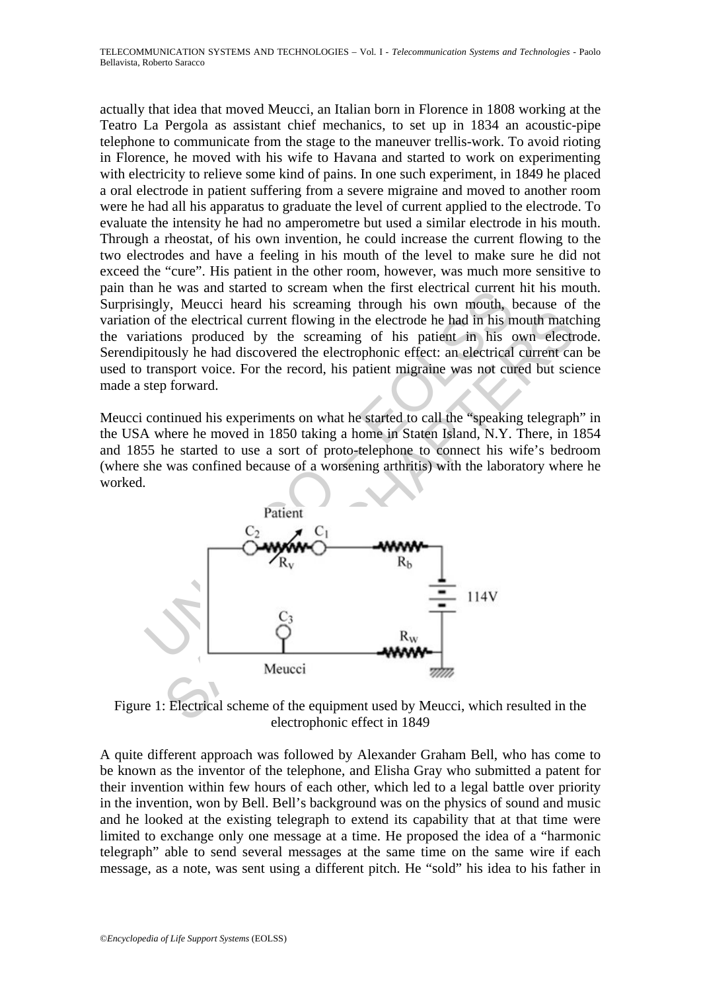actually that idea that moved Meucci, an Italian born in Florence in 1808 working at the Teatro La Pergola as assistant chief mechanics, to set up in 1834 an acoustic-pipe telephone to communicate from the stage to the maneuver trellis-work. To avoid rioting in Florence, he moved with his wife to Havana and started to work on experimenting with electricity to relieve some kind of pains. In one such experiment, in 1849 he placed a oral electrode in patient suffering from a severe migraine and moved to another room were he had all his apparatus to graduate the level of current applied to the electrode. To evaluate the intensity he had no amperometre but used a similar electrode in his mouth. Through a rheostat, of his own invention, he could increase the current flowing to the two electrodes and have a feeling in his mouth of the level to make sure he did not exceed the "cure". His patient in the other room, however, was much more sensitive to pain than he was and started to scream when the first electrical current hit his mouth. Surprisingly, Meucci heard his screaming through his own mouth, because of the variation of the electrical current flowing in the electrode he had in his mouth matching the variations produced by the screaming of his patient in his own electrode. Serendipitously he had discovered the electrophonic effect: an electrical current can be used to transport voice. For the record, his patient migraine was not cured but science made a step forward.

Meucci continued his experiments on what he started to call the "speaking telegraph" in the USA where he moved in 1850 taking a home in Staten Island, N.Y. There, in 1854 and 1855 he started to use a sort of proto-telephone to connect his wife's bedroom (where she was confined because of a worsening arthritis) with the laboratory where he worked.



Figure 1: Electrical scheme of the equipment used by Meucci, which resulted in the electrophonic effect in 1849

A quite different approach was followed by Alexander Graham Bell, who has come to be known as the inventor of the telephone, and Elisha Gray who submitted a patent for their invention within few hours of each other, which led to a legal battle over priority in the invention, won by Bell. Bell's background was on the physics of sound and music and he looked at the existing telegraph to extend its capability that at that time were limited to exchange only one message at a time. He proposed the idea of a "harmonic telegraph" able to send several messages at the same time on the same wire if each message, as a note, was sent using a different pitch. He "sold" his idea to his father in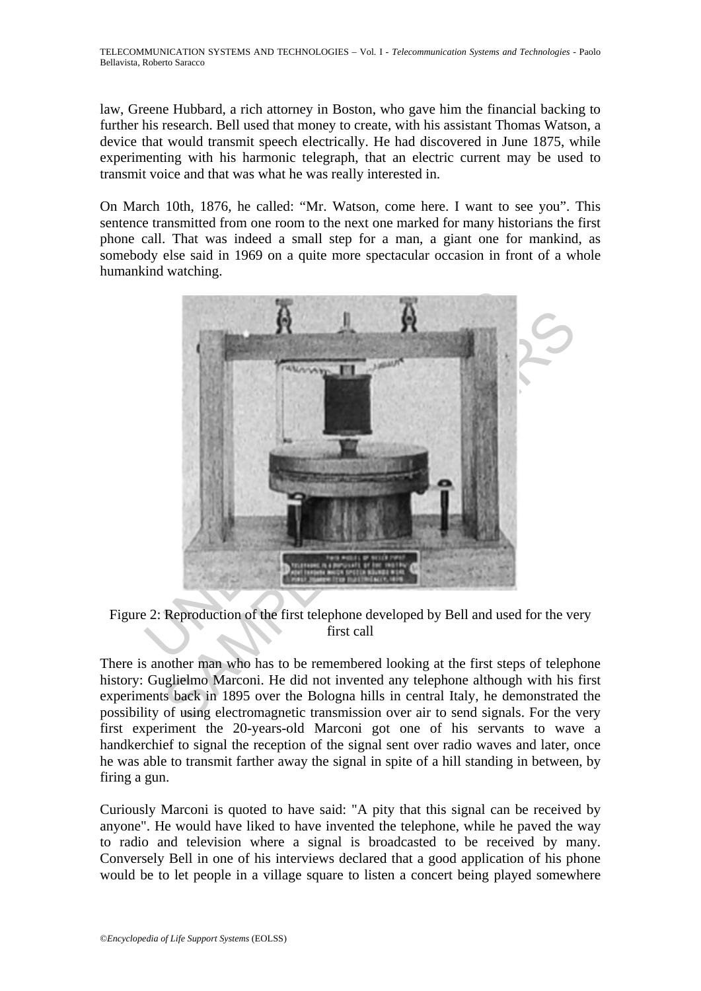law, Greene Hubbard, a rich attorney in Boston, who gave him the financial backing to further his research. Bell used that money to create, with his assistant Thomas Watson, a device that would transmit speech electrically. He had discovered in June 1875, while experimenting with his harmonic telegraph, that an electric current may be used to transmit voice and that was what he was really interested in.

On March 10th, 1876, he called: "Mr. Watson, come here. I want to see you". This sentence transmitted from one room to the next one marked for many historians the first phone call. That was indeed a small step for a man, a giant one for mankind, as somebody else said in 1969 on a quite more spectacular occasion in front of a whole humankind watching.



Figure 2: Reproduction of the first telephone developed by Bell and used for the very first call

There is another man who has to be remembered looking at the first steps of telephone history: Guglielmo Marconi. He did not invented any telephone although with his first experiments back in 1895 over the Bologna hills in central Italy, he demonstrated the possibility of using electromagnetic transmission over air to send signals. For the very first experiment the 20-years-old Marconi got one of his servants to wave a handkerchief to signal the reception of the signal sent over radio waves and later, once he was able to transmit farther away the signal in spite of a hill standing in between, by firing a gun.

Curiously Marconi is quoted to have said: "A pity that this signal can be received by anyone". He would have liked to have invented the telephone, while he paved the way to radio and television where a signal is broadcasted to be received by many. Conversely Bell in one of his interviews declared that a good application of his phone would be to let people in a village square to listen a concert being played somewhere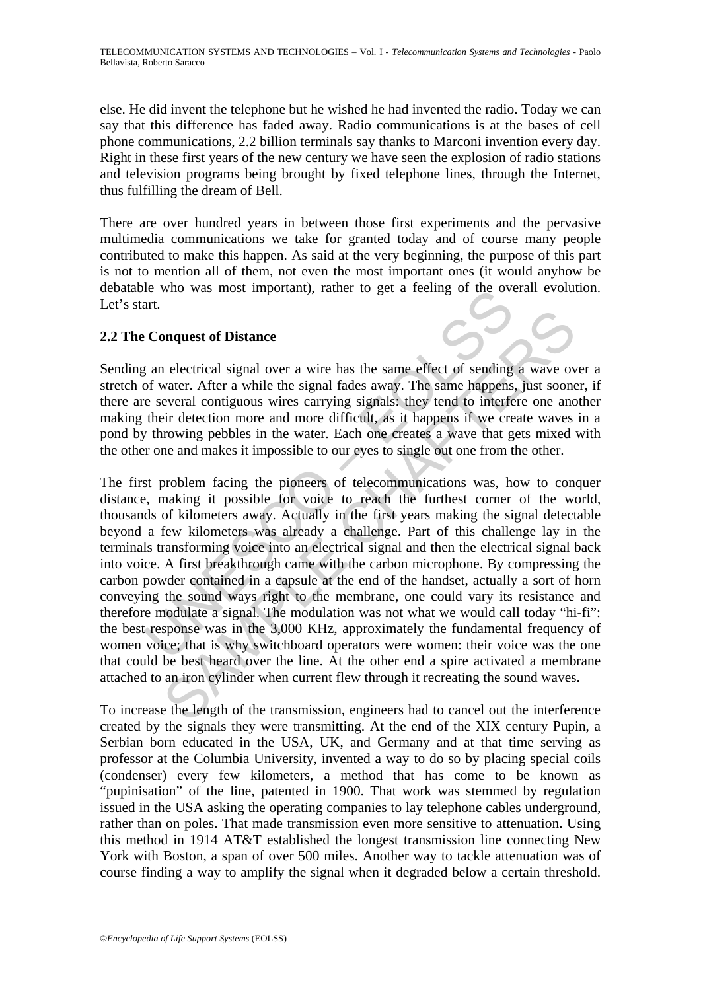else. He did invent the telephone but he wished he had invented the radio. Today we can say that this difference has faded away. Radio communications is at the bases of cell phone communications, 2.2 billion terminals say thanks to Marconi invention every day. Right in these first years of the new century we have seen the explosion of radio stations and television programs being brought by fixed telephone lines, through the Internet, thus fulfilling the dream of Bell.

There are over hundred years in between those first experiments and the pervasive multimedia communications we take for granted today and of course many people contributed to make this happen. As said at the very beginning, the purpose of this part is not to mention all of them, not even the most important ones (it would anyhow be debatable who was most important), rather to get a feeling of the overall evolution. Let's start.

# **2.2 The Conquest of Distance**

Sending an electrical signal over a wire has the same effect of sending a wave over a stretch of water. After a while the signal fades away. The same happens, just sooner, if there are several contiguous wires carrying signals: they tend to interfere one another making their detection more and more difficult, as it happens if we create waves in a pond by throwing pebbles in the water. Each one creates a wave that gets mixed with the other one and makes it impossible to our eyes to single out one from the other.

is a decrease was most importantly, rather to get a reemig of the overal and the system.<br>
Conquest of Distance<br>
conquest of Distance<br>
conquest of Distance<br>
concer. After a while the signal fades away. The same happens<br>
e s nquest of Distance<br>
nelectrical signal over a wire has the same effect of sending a wave ov<br>
avater. After a while the signal fades away. The same happens, just soone<br>
everal contiguous wires carrying signals; they tend to The first problem facing the pioneers of telecommunications was, how to conquer distance, making it possible for voice to reach the furthest corner of the world, thousands of kilometers away. Actually in the first years making the signal detectable beyond a few kilometers was already a challenge. Part of this challenge lay in the terminals transforming voice into an electrical signal and then the electrical signal back into voice. A first breakthrough came with the carbon microphone. By compressing the carbon powder contained in a capsule at the end of the handset, actually a sort of horn conveying the sound ways right to the membrane, one could vary its resistance and therefore modulate a signal. The modulation was not what we would call today "hi-fi": the best response was in the 3,000 KHz, approximately the fundamental frequency of women voice; that is why switchboard operators were women: their voice was the one that could be best heard over the line. At the other end a spire activated a membrane attached to an iron cylinder when current flew through it recreating the sound waves.

To increase the length of the transmission, engineers had to cancel out the interference created by the signals they were transmitting. At the end of the XIX century Pupin, a Serbian born educated in the USA, UK, and Germany and at that time serving as professor at the Columbia University, invented a way to do so by placing special coils (condenser) every few kilometers, a method that has come to be known as "pupinisation" of the line, patented in 1900. That work was stemmed by regulation issued in the USA asking the operating companies to lay telephone cables underground, rather than on poles. That made transmission even more sensitive to attenuation. Using this method in 1914 AT&T established the longest transmission line connecting New York with Boston, a span of over 500 miles. Another way to tackle attenuation was of course finding a way to amplify the signal when it degraded below a certain threshold.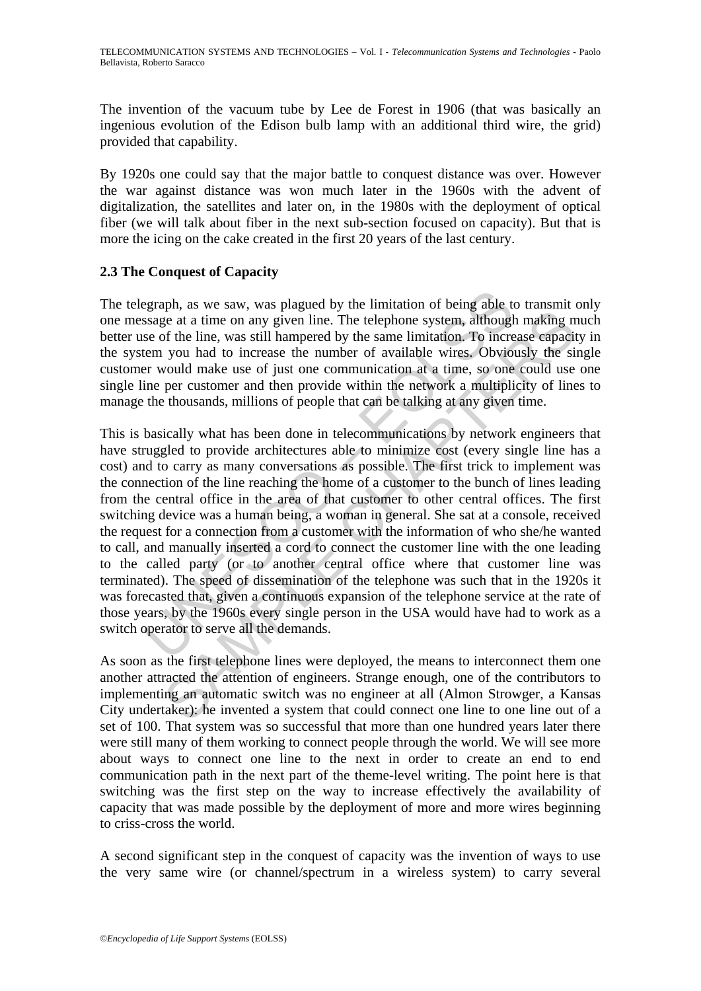The invention of the vacuum tube by Lee de Forest in 1906 (that was basically an ingenious evolution of the Edison bulb lamp with an additional third wire, the grid) provided that capability.

By 1920s one could say that the major battle to conquest distance was over. However the war against distance was won much later in the 1960s with the advent of digitalization, the satellites and later on, in the 1980s with the deployment of optical fiber (we will talk about fiber in the next sub-section focused on capacity). But that is more the icing on the cake created in the first 20 years of the last century.

## **2.3 The Conquest of Capacity**

The telegraph, as we saw, was plagued by the limitation of being able to transmit only one message at a time on any given line. The telephone system, although making much better use of the line, was still hampered by the same limitation. To increase capacity in the system you had to increase the number of available wires. Obviously the single customer would make use of just one communication at a time, so one could use one single line per customer and then provide within the network a multiplicity of lines to manage the thousands, millions of people that can be talking at any given time.

egraph, as we saw, was plagued by the limitation of being able tessage at a time on any given line. The telephone system, although se of the line, was still hampered by the same limitation. To increase the number of availa For a conservative function of the telephone system, although making in each at this on any given line. The telephone system, although making in of the line, was still hampered by the same limitation. To increase capacity This is basically what has been done in telecommunications by network engineers that have struggled to provide architectures able to minimize cost (every single line has a cost) and to carry as many conversations as possible. The first trick to implement was the connection of the line reaching the home of a customer to the bunch of lines leading from the central office in the area of that customer to other central offices. The first switching device was a human being, a woman in general. She sat at a console, received the request for a connection from a customer with the information of who she/he wanted to call, and manually inserted a cord to connect the customer line with the one leading to the called party (or to another central office where that customer line was terminated). The speed of dissemination of the telephone was such that in the 1920s it was forecasted that, given a continuous expansion of the telephone service at the rate of those years, by the 1960s every single person in the USA would have had to work as a switch operator to serve all the demands.

As soon as the first telephone lines were deployed, the means to interconnect them one another attracted the attention of engineers. Strange enough, one of the contributors to implementing an automatic switch was no engineer at all (Almon Strowger, a Kansas City undertaker): he invented a system that could connect one line to one line out of a set of 100. That system was so successful that more than one hundred years later there were still many of them working to connect people through the world. We will see more about ways to connect one line to the next in order to create an end to end communication path in the next part of the theme-level writing. The point here is that switching was the first step on the way to increase effectively the availability of capacity that was made possible by the deployment of more and more wires beginning to criss-cross the world.

A second significant step in the conquest of capacity was the invention of ways to use the very same wire (or channel/spectrum in a wireless system) to carry several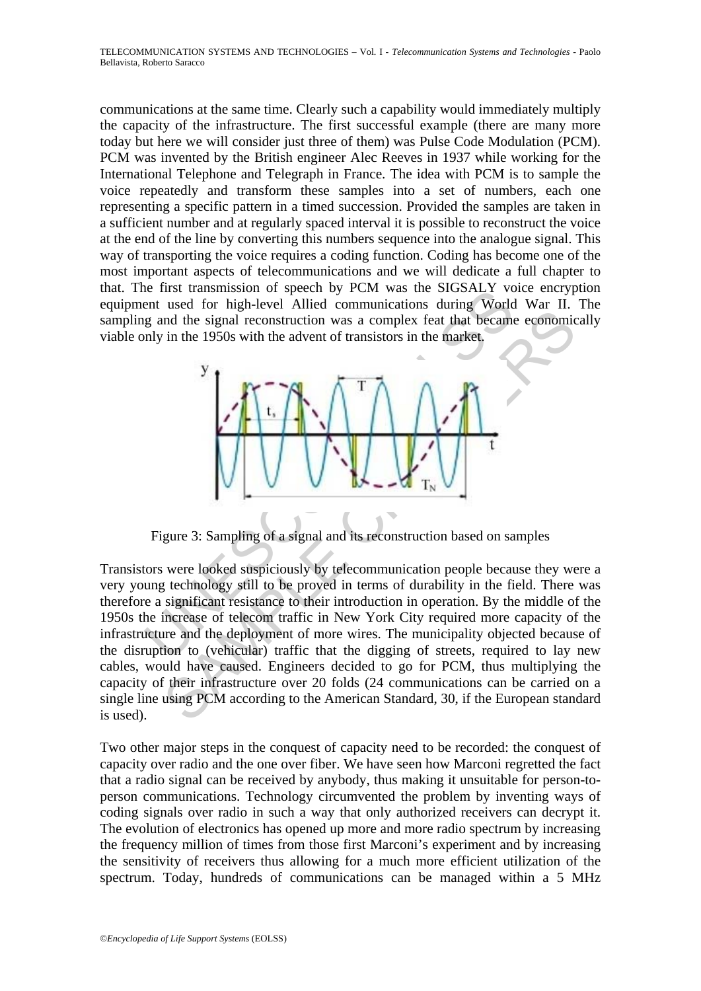communications at the same time. Clearly such a capability would immediately multiply the capacity of the infrastructure. The first successful example (there are many more today but here we will consider just three of them) was Pulse Code Modulation (PCM). PCM was invented by the British engineer Alec Reeves in 1937 while working for the International Telephone and Telegraph in France. The idea with PCM is to sample the voice repeatedly and transform these samples into a set of numbers, each one representing a specific pattern in a timed succession. Provided the samples are taken in a sufficient number and at regularly spaced interval it is possible to reconstruct the voice at the end of the line by converting this numbers sequence into the analogue signal. This way of transporting the voice requires a coding function. Coding has become one of the most important aspects of telecommunications and we will dedicate a full chapter to that. The first transmission of speech by PCM was the SIGSALY voice encryption equipment used for high-level Allied communications during World War II. The sampling and the signal reconstruction was a complex feat that became economically viable only in the 1950s with the advent of transistors in the market.



Figure 3: Sampling of a signal and its reconstruction based on samples

and the signal reconstruction was a complex feat that became economic<br>in the 1950s with the advent of transistors in the market.<br>  $\frac{1}{\sqrt{2}}\sqrt{\frac{1}{\sqrt{2}}\sqrt{\frac{1}{\sqrt{2}}}}\sqrt{\frac{1}{\sqrt{2}}\sqrt{\frac{1}{\sqrt{2}}\sqrt{\frac{1}{\sqrt{2}}}}}}$ <br>
gure 3: Sampli Transistors were looked suspiciously by telecommunication people because they were a very young technology still to be proved in terms of durability in the field. There was therefore a significant resistance to their introduction in operation. By the middle of the 1950s the increase of telecom traffic in New York City required more capacity of the infrastructure and the deployment of more wires. The municipality objected because of the disruption to (vehicular) traffic that the digging of streets, required to lay new cables, would have caused. Engineers decided to go for PCM, thus multiplying the capacity of their infrastructure over 20 folds (24 communications can be carried on a single line using PCM according to the American Standard, 30, if the European standard is used).

Two other major steps in the conquest of capacity need to be recorded: the conquest of capacity over radio and the one over fiber. We have seen how Marconi regretted the fact that a radio signal can be received by anybody, thus making it unsuitable for person-toperson communications. Technology circumvented the problem by inventing ways of coding signals over radio in such a way that only authorized receivers can decrypt it. The evolution of electronics has opened up more and more radio spectrum by increasing the frequency million of times from those first Marconi's experiment and by increasing the sensitivity of receivers thus allowing for a much more efficient utilization of the spectrum. Today, hundreds of communications can be managed within a 5 MHz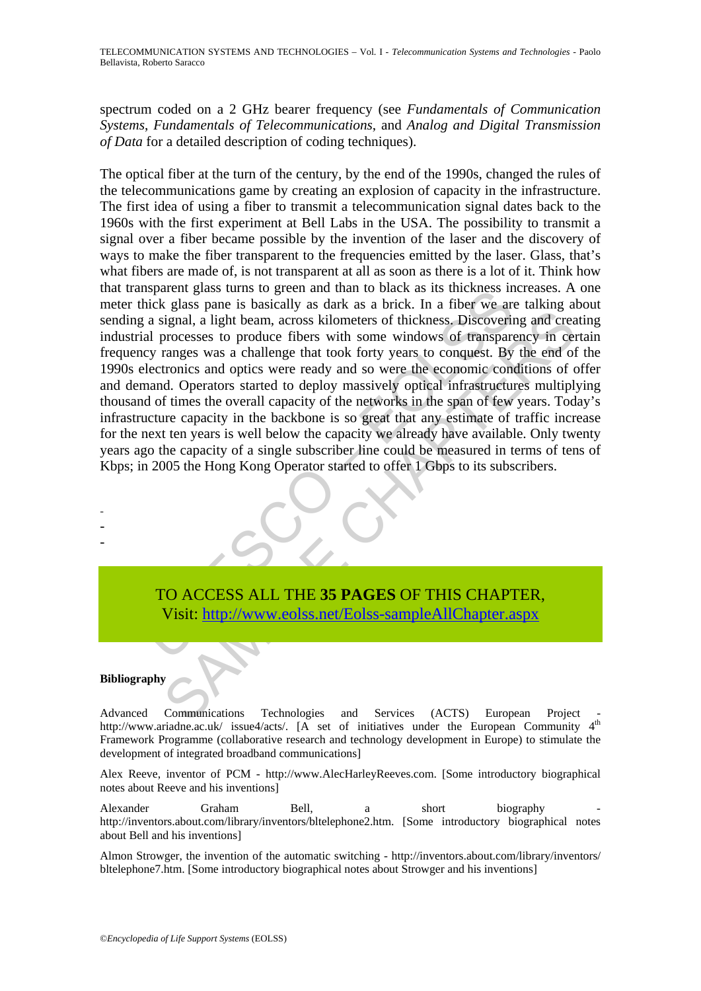spectrum coded on a 2 GHz bearer frequency (see *Fundamentals of Communication Systems*, *Fundamentals of Telecommunications*, and *Analog and Digital Transmission of Data* for a detailed description of coding techniques).

sparent grass turns to green and unan to back as its increass imits agains at a signal, a light beam, across kilometers of thickness. Discoverial processes to produce fibers with some windows of transpare a signal, a light State particular and a state of thickness. Discovering and created are streament as the state and controlling and creative increases to produce fibers with some windows of transparency in certaings was a challenge that too The optical fiber at the turn of the century, by the end of the 1990s, changed the rules of the telecommunications game by creating an explosion of capacity in the infrastructure. The first idea of using a fiber to transmit a telecommunication signal dates back to the 1960s with the first experiment at Bell Labs in the USA. The possibility to transmit a signal over a fiber became possible by the invention of the laser and the discovery of ways to make the fiber transparent to the frequencies emitted by the laser. Glass, that's what fibers are made of, is not transparent at all as soon as there is a lot of it. Think how that transparent glass turns to green and than to black as its thickness increases. A one meter thick glass pane is basically as dark as a brick. In a fiber we are talking about sending a signal, a light beam, across kilometers of thickness. Discovering and creating industrial processes to produce fibers with some windows of transparency in certain frequency ranges was a challenge that took forty years to conquest. By the end of the 1990s electronics and optics were ready and so were the economic conditions of offer and demand. Operators started to deploy massively optical infrastructures multiplying thousand of times the overall capacity of the networks in the span of few years. Today's infrastructure capacity in the backbone is so great that any estimate of traffic increase for the next ten years is well below the capacity we already have available. Only twenty years ago the capacity of a single subscriber line could be measured in terms of tens of Kbps; in 2005 the Hong Kong Operator started to offer 1 Gbps to its subscribers.

TO ACCESS ALL THE **35 PAGES** OF THIS CHAPTER, Visit: http://www.eolss.net/Eolss-sampleAllChapter.aspx

#### **Bibliography**

- - -

Advanced Communications Technologies and Services (ACTS) European Project http://www.ariadne.ac.uk/ issue4/acts/. [A set of initiatives under the European Community 4<sup>th</sup> Framework Programme (collaborative research and technology development in Europe) to stimulate the development of integrated broadband communications]

Alex Reeve, inventor of PCM - http://www.AlecHarleyReeves.com. [Some introductory biographical notes about Reeve and his inventions]

Alexander Graham Bell, a short biography http://inventors.about.com/library/inventors/bltelephone2.htm. [Some introductory biographical notes about Bell and his inventions]

Almon Strowger, the invention of the automatic switching - http://inventors.about.com/library/inventors/ bltelephone7.htm. [Some introductory biographical notes about Strowger and his inventions]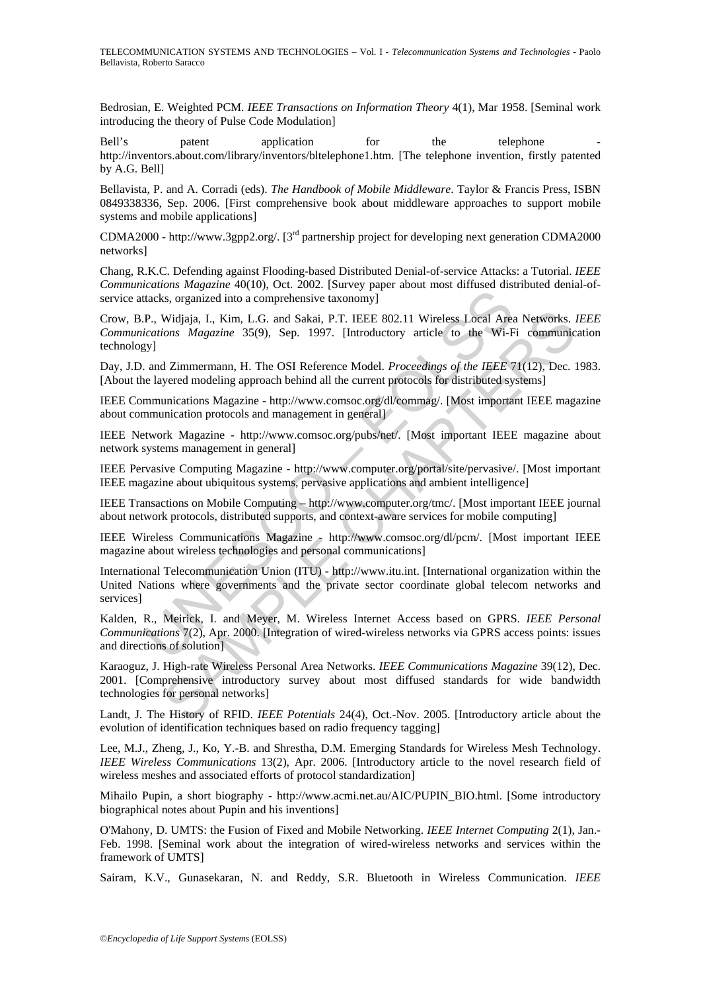Bedrosian, E. Weighted PCM. *IEEE Transactions on Information Theory* 4(1), Mar 1958. [Seminal work introducing the theory of Pulse Code Modulation]

Bell's patent application for the telephone http://inventors.about.com/library/inventors/bltelephone1.htm. [The telephone invention, firstly patented by A.G. Bell]

Bellavista, P. and A. Corradi (eds). *The Handbook of Mobile Middleware*. Taylor & Francis Press, ISBN 0849338336, Sep. 2006. [First comprehensive book about middleware approaches to support mobile systems and mobile applications]

CDMA2000 - http://www.3gpp2.org/. [3rd partnership project for developing next generation CDMA2000 networks]

Chang, R.K.C. Defending against Flooding-based Distributed Denial-of-service Attacks: a Tutorial. *IEEE Communications Magazine* 40(10), Oct. 2002. [Survey paper about most diffused distributed denial-ofservice attacks, organized into a comprehensive taxonomy]

Crow, B.P., Widjaja, I., Kim, L.G. and Sakai, P.T. IEEE 802.11 Wireless Local Area Networks. *IEEE Communications Magazine* 35(9), Sep. 1997. [Introductory article to the Wi-Fi communication technology]

Day, J.D. and Zimmermann, H. The OSI Reference Model. *Proceedings of the IEEE* 71(12), Dec. 1983. [About the layered modeling approach behind all the current protocols for distributed systems]

IEEE Communications Magazine - http://www.comsoc.org/dl/commag/. [Most important IEEE magazine about communication protocols and management in general]

IEEE Network Magazine - http://www.comsoc.org/pubs/net/. [Most important IEEE magazine about network systems management in general]

IEEE Pervasive Computing Magazine - http://www.computer.org/portal/site/pervasive/. [Most important IEEE magazine about ubiquitous systems, pervasive applications and ambient intelligence]

IEEE Transactions on Mobile Computing – http://www.computer.org/tmc/. [Most important IEEE journal about network protocols, distributed supports, and context-aware services for mobile computing]

IEEE Wireless Communications Magazine - http://www.comsoc.org/dl/pcm/. [Most important IEEE magazine about wireless technologies and personal communications]

Etateks, organized into a comprehensive taxonomy]<br>
P., Widjaja, I., Kim, L.G. and Sakai, P.T. IEEE 802.11 Wireless Local Area<br>
ications *Magazine* 35(9), Sep. 1997. [Introductory article to the Wi-Fy]<br>
gyl castions *Magazi* Widjaja, I., Kim, L.G. and Sakai, P.T. IEEE 802.11 Wireless Local Area Networks.<br> *ions Magazine* 35(9), Sep. 1997. [Introductory article to the Wi-Fi communic<br>
17:immermann, H. The OSI Reference Model. *Proceedings of the* International Telecommunication Union (ITU) - http://www.itu.int. [International organization within the United Nations where governments and the private sector coordinate global telecom networks and services]

Kalden, R., Meirick, I. and Meyer, M. Wireless Internet Access based on GPRS. *IEEE Personal Communications* 7(2), Apr. 2000. [Integration of wired-wireless networks via GPRS access points: issues and directions of solution]

Karaoguz, J. High-rate Wireless Personal Area Networks. *IEEE Communications Magazine* 39(12), Dec. 2001. [Comprehensive introductory survey about most diffused standards for wide bandwidth technologies for personal networks]

Landt, J. The History of RFID. *IEEE Potentials* 24(4), Oct.-Nov. 2005. [Introductory article about the evolution of identification techniques based on radio frequency tagging]

Lee, M.J., Zheng, J., Ko, Y.-B. and Shrestha, D.M. Emerging Standards for Wireless Mesh Technology. *IEEE Wireless Communications* 13(2), Apr. 2006. [Introductory article to the novel research field of wireless meshes and associated efforts of protocol standardization]

Mihailo Pupin, a short biography - http://www.acmi.net.au/AIC/PUPIN\_BIO.html. [Some introductory biographical notes about Pupin and his inventions]

O'Mahony, D. UMTS: the Fusion of Fixed and Mobile Networking. *IEEE Internet Computing* 2(1), Jan.- Feb. 1998. [Seminal work about the integration of wired-wireless networks and services within the framework of UMTS]

Sairam, K.V., Gunasekaran, N. and Reddy, S.R. Bluetooth in Wireless Communication. *IEEE*